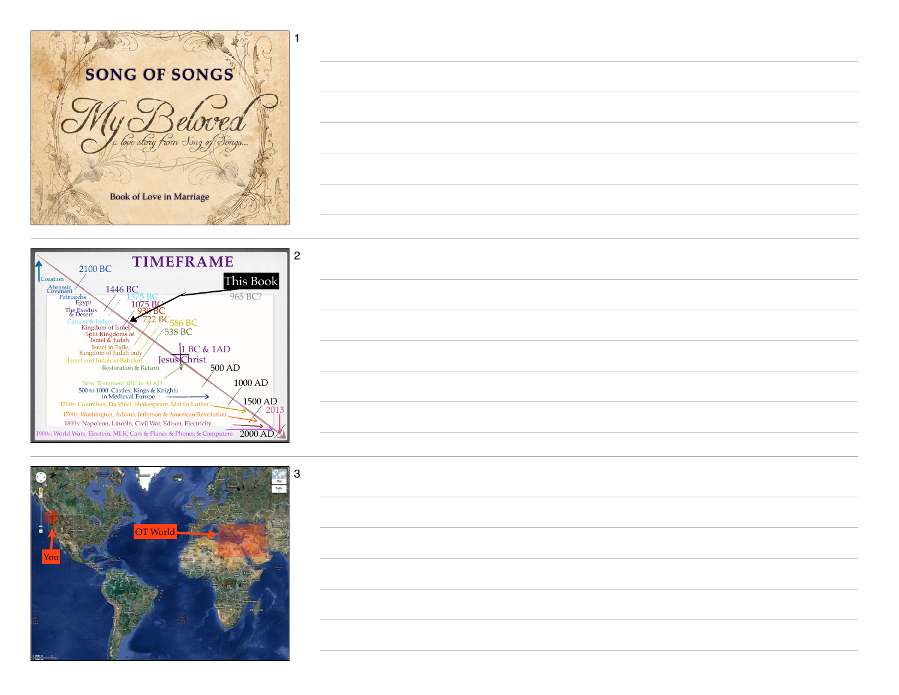





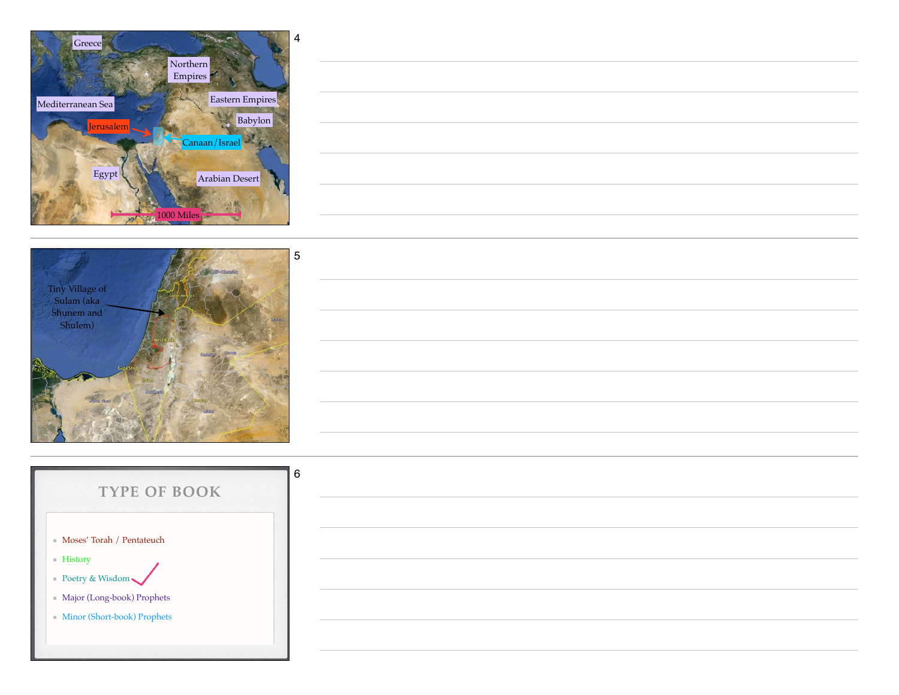



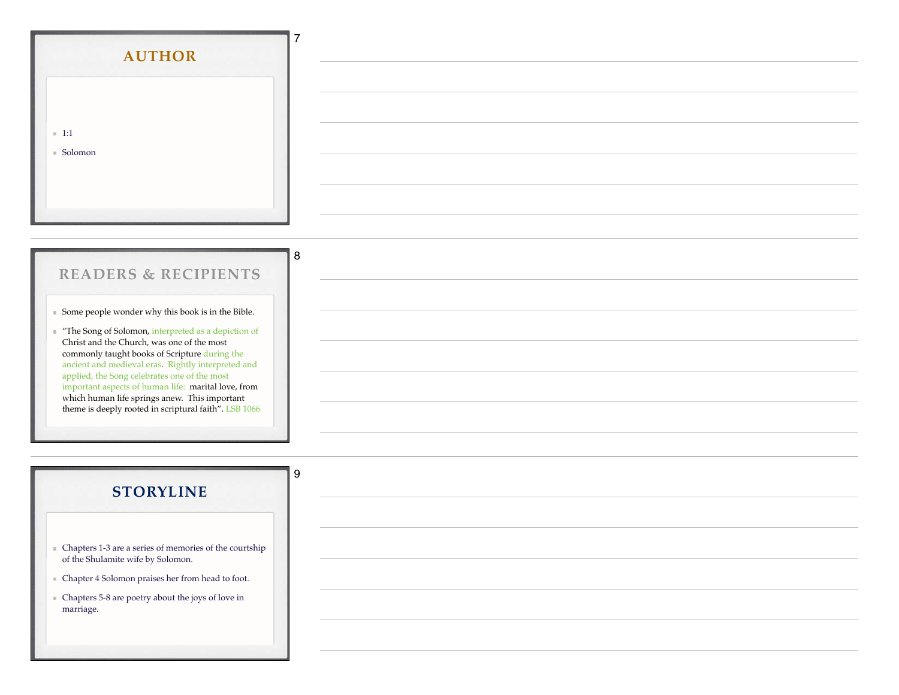| <b>AUTHOR</b>          |  |
|------------------------|--|
| $\blacksquare$ 1:1     |  |
| $\blacksquare$ Solomon |  |
|                        |  |

## **READERS & RECIPIENTS**

8

9

Some people wonder why this book is in the Bible.

"The Song of Solomon, interpreted as a depiction of Christ and the Church, was one of the most commonly taught books of Scripture during the ancient and medieval eras. Rightly interpreted and applied, the Song celebrates one of the most important aspects of human life: marital love, from which human life springs anew. This important theme is deeply rooted in scriptural faith". LSB 1066

## **STORYLINE**

- Chapters 1-3 are a series of memories of the courtship of the Shulamite wife by Solomon.
- Chapter 4 Solomon praises her from head to foot.
- Chapters 5-8 are poetry about the joys of love in marriage.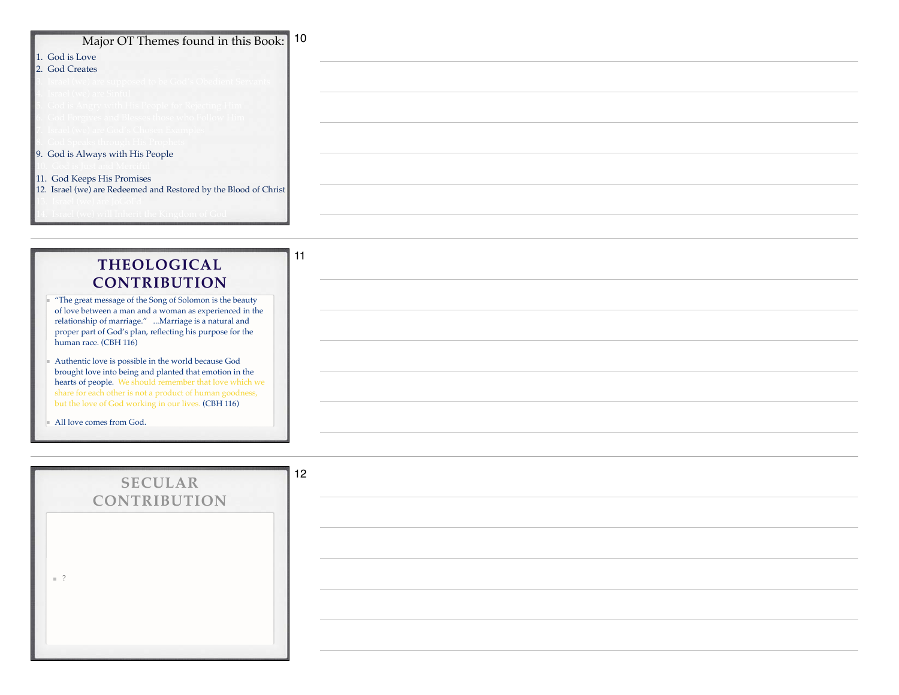| Major OT Themes found in this Book: 10                                              |  |
|-------------------------------------------------------------------------------------|--|
| 1. God is Love                                                                      |  |
| 2. God Creates                                                                      |  |
| rael (we) are supposed to be God's Obedient Serval                                  |  |
| Israel (we) are Sinful                                                              |  |
| $\mathsf{God}$ is Angry with His People for Rejecting Him                           |  |
| od Forgives and Blesses those who Follow Him<br>rael (we) are God's Chosen Examples |  |
| God Speaks through His Prophets L                                                   |  |
| 9. God is Always with His People                                                    |  |
|                                                                                     |  |
| 11. God Keeps His Promises                                                          |  |
| 12. Israel (we) are Redeemed and Restored by the Blood of Christ                    |  |
|                                                                                     |  |
| . Israel (we) will Inherit the Kingdom of God                                       |  |

## **THEOLOGICAL CONTRIBUTION**

11

- ы "The great message of the Song of Solomon is the beauty of love between a man and a woman as experienced in the relationship of marriage." ...Marriage is a natural and proper part of God's plan, reflecting his purpose for the human race. (CBH 116)
- Authentic love is possible in the world because God brought love into being and planted that emotion in the hearts of people. We should remember that love which we share for each other is not a product of human goodness, but the love of God working in our lives. (CBH 116)

All love comes from God.

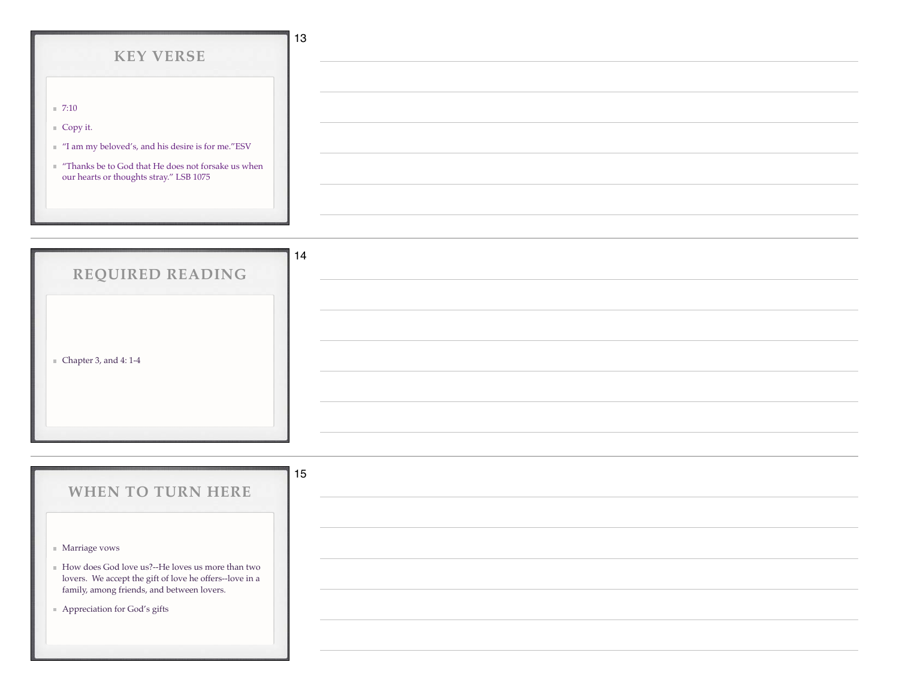| <b>KEY VERSE</b>                                                                                                                                                        | 13 |
|-------------------------------------------------------------------------------------------------------------------------------------------------------------------------|----|
|                                                                                                                                                                         |    |
| $\blacksquare$ 7:10                                                                                                                                                     |    |
| $\equiv$ Copy it.                                                                                                                                                       |    |
| $\hspace{0.1mm}$ "I am my beloved's, and his desire is for me."<br>ESV<br>"Thanks be to God that He does not forsake us when<br>our hearts or thoughts stray." LSB 1075 |    |
|                                                                                                                                                                         |    |

| REQUIRED READING                     | 14 |
|--------------------------------------|----|
|                                      |    |
|                                      |    |
| $\blacksquare$ Chapter 3, and 4: 1-4 |    |
|                                      |    |
|                                      |    |
|                                      |    |

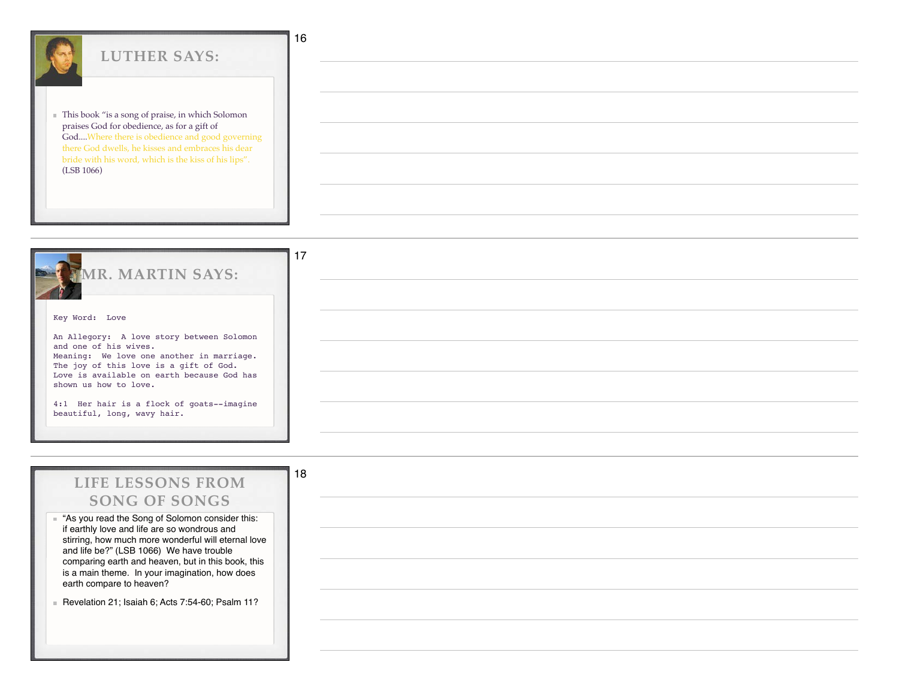| <b>LUTHER SAYS:</b>                                                                                                                                                                                    | 16 |
|--------------------------------------------------------------------------------------------------------------------------------------------------------------------------------------------------------|----|
| This book "is a song of praise, in which Solomon<br>praises God for obedience, as for a gift of<br>GodWhere there is obedience and good governing<br>there God dwells, he kisses and embraces his dear |    |
| bride with his word, which is the kiss of his lips".<br>(LSB 1066)                                                                                                                                     |    |
|                                                                                                                                                                                                        |    |
|                                                                                                                                                                                                        |    |



## **LIFE LESSONS FROM SONG OF SONGS**

18

"As you read the Song of Solomon consider this: if earthly love and life are so wondrous and stirring, how much more wonderful will eternal love and life be?" (LSB 1066) We have trouble comparing earth and heaven, but in this book, this is a main theme. In your imagination, how does earth compare to heaven?

Revelation 21; Isaiah 6; Acts 7:54-60; Psalm 11?